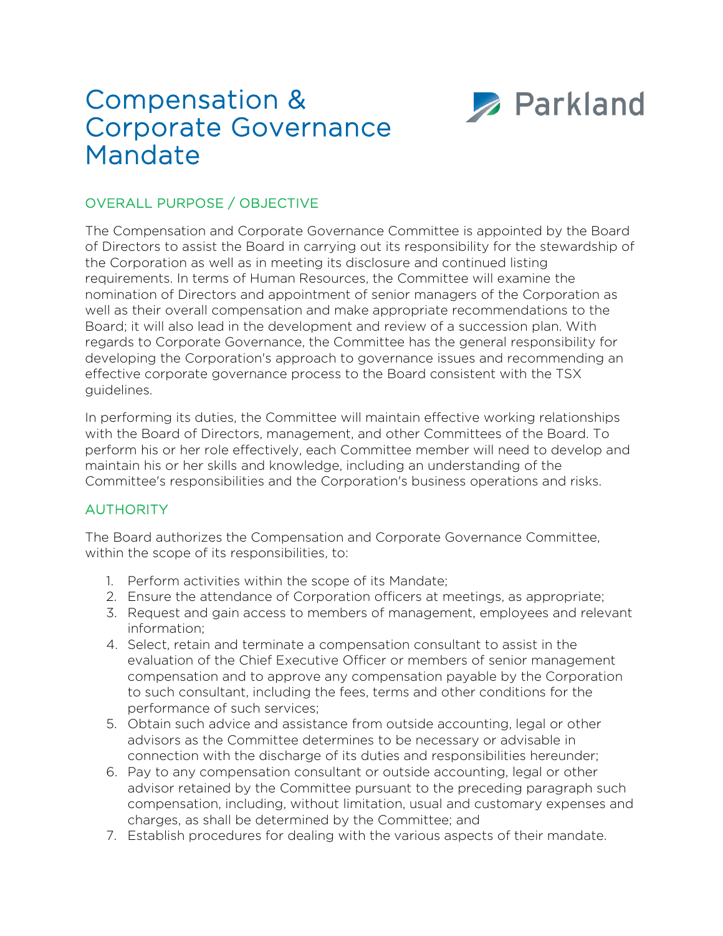# Compensation & Corporate Governance Mandate



# OVERALL PURPOSE / OBJECTIVE

The Compensation and Corporate Governance Committee is appointed by the Board of Directors to assist the Board in carrying out its responsibility for the stewardship of the Corporation as well as in meeting its disclosure and continued listing requirements. In terms of Human Resources, the Committee will examine the nomination of Directors and appointment of senior managers of the Corporation as well as their overall compensation and make appropriate recommendations to the Board; it will also lead in the development and review of a succession plan. With regards to Corporate Governance, the Committee has the general responsibility for developing the Corporation's approach to governance issues and recommending an effective corporate governance process to the Board consistent with the TSX guidelines.

In performing its duties, the Committee will maintain effective working relationships with the Board of Directors, management, and other Committees of the Board. To perform his or her role effectively, each Committee member will need to develop and maintain his or her skills and knowledge, including an understanding of the Committee's responsibilities and the Corporation's business operations and risks.

## AUTHORITY

The Board authorizes the Compensation and Corporate Governance Committee, within the scope of its responsibilities, to:

- 1. Perform activities within the scope of its Mandate;
- 2. Ensure the attendance of Corporation officers at meetings, as appropriate;
- 3. Request and gain access to members of management, employees and relevant information;
- 4. Select, retain and terminate a compensation consultant to assist in the evaluation of the Chief Executive Officer or members of senior management compensation and to approve any compensation payable by the Corporation to such consultant, including the fees, terms and other conditions for the performance of such services;
- 5. Obtain such advice and assistance from outside accounting, legal or other advisors as the Committee determines to be necessary or advisable in connection with the discharge of its duties and responsibilities hereunder;
- 6. Pay to any compensation consultant or outside accounting, legal or other advisor retained by the Committee pursuant to the preceding paragraph such compensation, including, without limitation, usual and customary expenses and charges, as shall be determined by the Committee; and
- 7. Establish procedures for dealing with the various aspects of their mandate.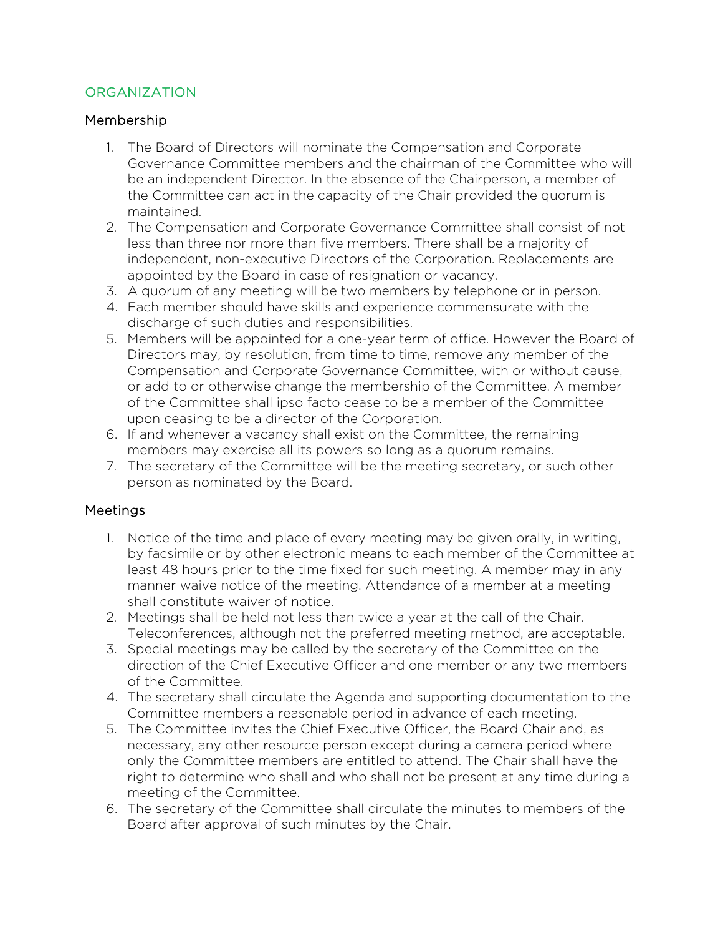## **ORGANIZATION**

## Membership

- 1. The Board of Directors will nominate the Compensation and Corporate Governance Committee members and the chairman of the Committee who will be an independent Director. In the absence of the Chairperson, a member of the Committee can act in the capacity of the Chair provided the quorum is maintained.
- 2. The Compensation and Corporate Governance Committee shall consist of not less than three nor more than five members. There shall be a majority of independent, non-executive Directors of the Corporation. Replacements are appointed by the Board in case of resignation or vacancy.
- 3. A quorum of any meeting will be two members by telephone or in person.
- 4. Each member should have skills and experience commensurate with the discharge of such duties and responsibilities.
- 5. Members will be appointed for a one-year term of office. However the Board of Directors may, by resolution, from time to time, remove any member of the Compensation and Corporate Governance Committee, with or without cause, or add to or otherwise change the membership of the Committee. A member of the Committee shall ipso facto cease to be a member of the Committee upon ceasing to be a director of the Corporation.
- 6. If and whenever a vacancy shall exist on the Committee, the remaining members may exercise all its powers so long as a quorum remains.
- 7. The secretary of the Committee will be the meeting secretary, or such other person as nominated by the Board.

## **Meetings**

- 1. Notice of the time and place of every meeting may be given orally, in writing, by facsimile or by other electronic means to each member of the Committee at least 48 hours prior to the time fixed for such meeting. A member may in any manner waive notice of the meeting. Attendance of a member at a meeting shall constitute waiver of notice.
- 2. Meetings shall be held not less than twice a year at the call of the Chair. Teleconferences, although not the preferred meeting method, are acceptable.
- 3. Special meetings may be called by the secretary of the Committee on the direction of the Chief Executive Officer and one member or any two members of the Committee.
- 4. The secretary shall circulate the Agenda and supporting documentation to the Committee members a reasonable period in advance of each meeting.
- 5. The Committee invites the Chief Executive Officer, the Board Chair and, as necessary, any other resource person except during a camera period where only the Committee members are entitled to attend. The Chair shall have the right to determine who shall and who shall not be present at any time during a meeting of the Committee.
- 6. The secretary of the Committee shall circulate the minutes to members of the Board after approval of such minutes by the Chair.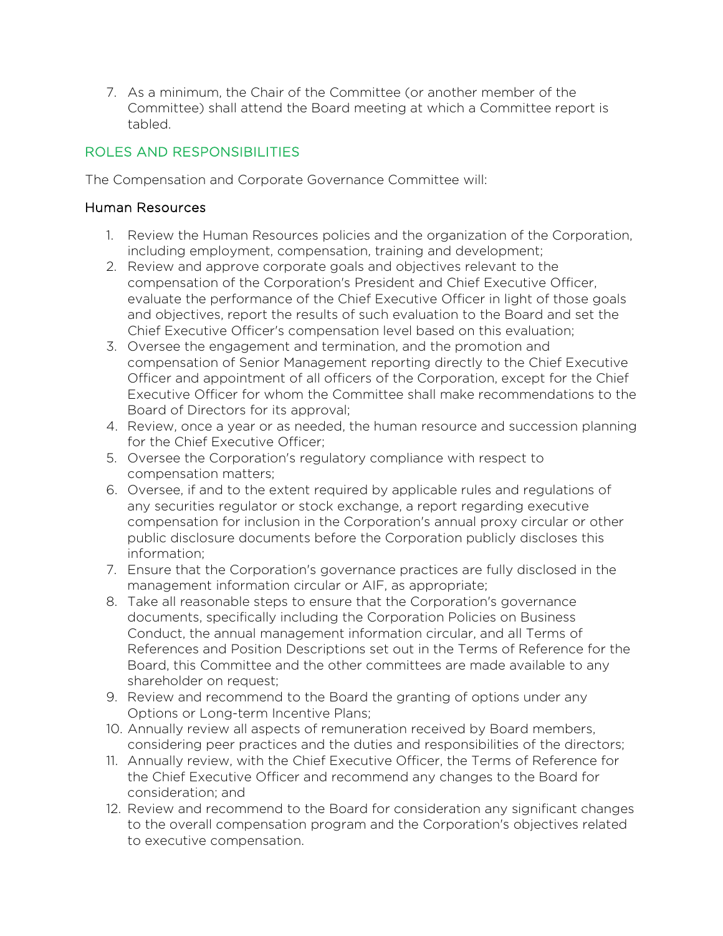7. As a minimum, the Chair of the Committee (or another member of the Committee) shall attend the Board meeting at which a Committee report is tabled.

# ROLES AND RESPONSIBILITIES

The Compensation and Corporate Governance Committee will:

#### Human Resources

- 1. Review the Human Resources policies and the organization of the Corporation, including employment, compensation, training and development;
- 2. Review and approve corporate goals and objectives relevant to the compensation of the Corporation's President and Chief Executive Officer, evaluate the performance of the Chief Executive Officer in light of those goals and objectives, report the results of such evaluation to the Board and set the Chief Executive Officer's compensation level based on this evaluation;
- 3. Oversee the engagement and termination, and the promotion and compensation of Senior Management reporting directly to the Chief Executive Officer and appointment of all officers of the Corporation, except for the Chief Executive Officer for whom the Committee shall make recommendations to the Board of Directors for its approval;
- 4. Review, once a year or as needed, the human resource and succession planning for the Chief Executive Officer;
- 5. Oversee the Corporation's regulatory compliance with respect to compensation matters;
- 6. Oversee, if and to the extent required by applicable rules and regulations of any securities regulator or stock exchange, a report regarding executive compensation for inclusion in the Corporation's annual proxy circular or other public disclosure documents before the Corporation publicly discloses this information;
- 7. Ensure that the Corporation's governance practices are fully disclosed in the management information circular or AIF, as appropriate;
- 8. Take all reasonable steps to ensure that the Corporation's governance documents, specifically including the Corporation Policies on Business Conduct, the annual management information circular, and all Terms of References and Position Descriptions set out in the Terms of Reference for the Board, this Committee and the other committees are made available to any shareholder on request;
- 9. Review and recommend to the Board the granting of options under any Options or Long-term Incentive Plans;
- 10. Annually review all aspects of remuneration received by Board members, considering peer practices and the duties and responsibilities of the directors;
- 11. Annually review, with the Chief Executive Officer, the Terms of Reference for the Chief Executive Officer and recommend any changes to the Board for consideration; and
- 12. Review and recommend to the Board for consideration any significant changes to the overall compensation program and the Corporation's objectives related to executive compensation.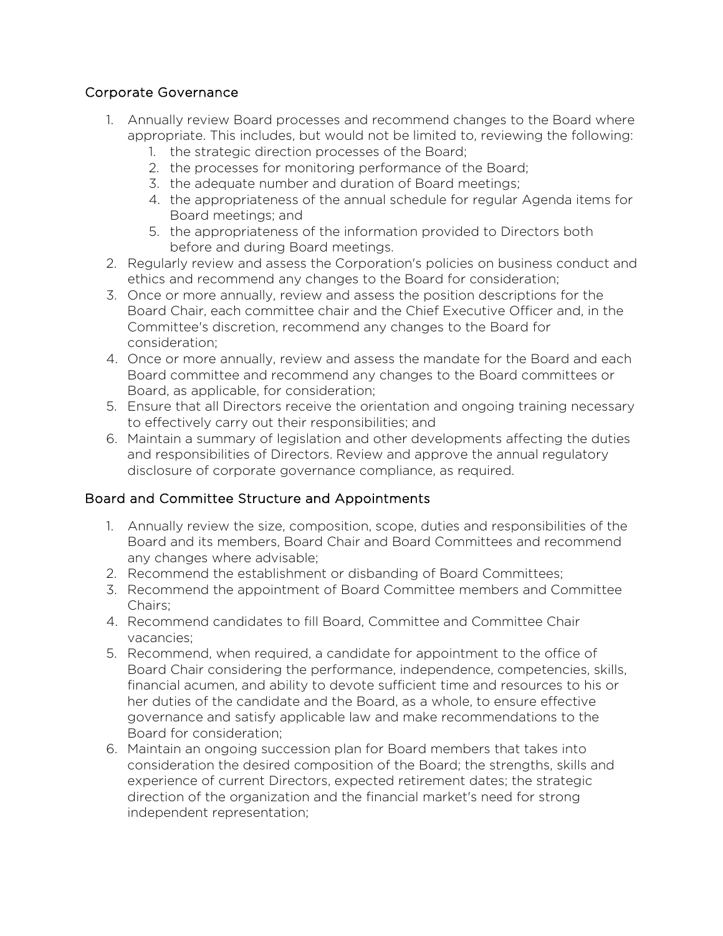## Corporate Governance

- 1. Annually review Board processes and recommend changes to the Board where appropriate. This includes, but would not be limited to, reviewing the following:
	- 1. the strategic direction processes of the Board;
	- 2. the processes for monitoring performance of the Board;
	- 3. the adequate number and duration of Board meetings;
	- 4. the appropriateness of the annual schedule for regular Agenda items for Board meetings; and
	- 5. the appropriateness of the information provided to Directors both before and during Board meetings.
- 2. Regularly review and assess the Corporation's policies on business conduct and ethics and recommend any changes to the Board for consideration;
- 3. Once or more annually, review and assess the position descriptions for the Board Chair, each committee chair and the Chief Executive Officer and, in the Committee's discretion, recommend any changes to the Board for consideration;
- 4. Once or more annually, review and assess the mandate for the Board and each Board committee and recommend any changes to the Board committees or Board, as applicable, for consideration;
- 5. Ensure that all Directors receive the orientation and ongoing training necessary to effectively carry out their responsibilities; and
- 6. Maintain a summary of legislation and other developments affecting the duties and responsibilities of Directors. Review and approve the annual regulatory disclosure of corporate governance compliance, as required.

## Board and Committee Structure and Appointments

- 1. Annually review the size, composition, scope, duties and responsibilities of the Board and its members, Board Chair and Board Committees and recommend any changes where advisable;
- 2. Recommend the establishment or disbanding of Board Committees;
- 3. Recommend the appointment of Board Committee members and Committee Chairs;
- 4. Recommend candidates to fill Board, Committee and Committee Chair vacancies;
- 5. Recommend, when required, a candidate for appointment to the office of Board Chair considering the performance, independence, competencies, skills, financial acumen, and ability to devote sufficient time and resources to his or her duties of the candidate and the Board, as a whole, to ensure effective governance and satisfy applicable law and make recommendations to the Board for consideration;
- 6. Maintain an ongoing succession plan for Board members that takes into consideration the desired composition of the Board; the strengths, skills and experience of current Directors, expected retirement dates; the strategic direction of the organization and the financial market's need for strong independent representation;